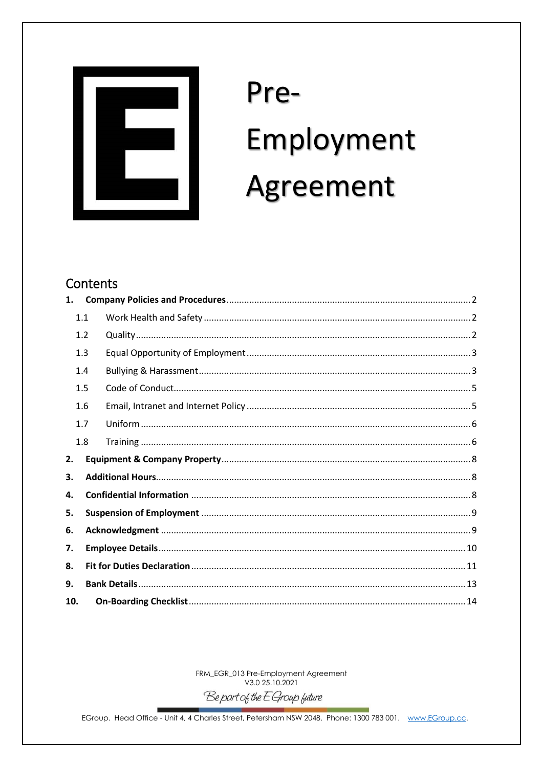

# Pre-Employment Agreement

# Contents

| 1.  |     |  |  |  |
|-----|-----|--|--|--|
|     | 1.1 |  |  |  |
|     | 1.2 |  |  |  |
|     | 1.3 |  |  |  |
|     | 1.4 |  |  |  |
|     | 1.5 |  |  |  |
|     | 1.6 |  |  |  |
|     | 1.7 |  |  |  |
|     | 1.8 |  |  |  |
| 2.  |     |  |  |  |
| З.  |     |  |  |  |
| 4.  |     |  |  |  |
| 5.  |     |  |  |  |
| 6.  |     |  |  |  |
| 7.  |     |  |  |  |
| 8.  |     |  |  |  |
| 9.  |     |  |  |  |
| 10. |     |  |  |  |

FRM\_EGR\_013 Pre-Employment Agreement<br>V3.0 25.10.2021

Be part of the E Group future

EGroup. Head Office - Unit 4, 4 Charles Street, Petersham NSW 2048. Phone: 1300 783 001. www.EGroup.cc.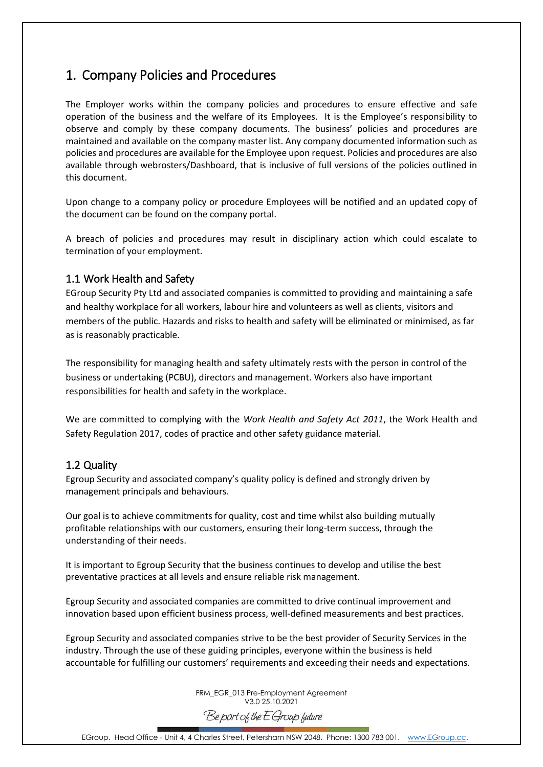## <span id="page-1-0"></span>1. Company Policies and Procedures

The Employer works within the company policies and procedures to ensure effective and safe operation of the business and the welfare of its Employees. It is the Employee's responsibility to observe and comply by these company documents. The business' policies and procedures are maintained and available on the company master list. Any company documented information such as policies and procedures are available for the Employee upon request. Policies and procedures are also available through webrosters/Dashboard, that is inclusive of full versions of the policies outlined in this document.

Upon change to a company policy or procedure Employees will be notified and an updated copy of the document can be found on the company portal.

A breach of policies and procedures may result in disciplinary action which could escalate to termination of your employment.

#### <span id="page-1-1"></span>1.1 Work Health and Safety

EGroup Security Pty Ltd and associated companies is committed to providing and maintaining a safe and healthy workplace for all workers, labour hire and volunteers as well as clients, visitors and members of the public. Hazards and risks to health and safety will be eliminated or minimised, as far as is reasonably practicable.

The responsibility for managing health and safety ultimately rests with the person in control of the business or undertaking (PCBU), directors and management. Workers also have important responsibilities for health and safety in the workplace.

We are committed to complying with the *Work Health and Safety Act 2011*, the Work Health and Safety Regulation 2017, codes of practice and other safety guidance material.

#### <span id="page-1-2"></span>1.2 Quality

Egroup Security and associated company's quality policy is defined and strongly driven by management principals and behaviours.

Our goal is to achieve commitments for quality, cost and time whilst also building mutually profitable relationships with our customers, ensuring their long-term success, through the understanding of their needs.

It is important to Egroup Security that the business continues to develop and utilise the best preventative practices at all levels and ensure reliable risk management.

Egroup Security and associated companies are committed to drive continual improvement and innovation based upon efficient business process, well-defined measurements and best practices.

Egroup Security and associated companies strive to be the best provider of Security Services in the industry. Through the use of these guiding principles, everyone within the business is held accountable for fulfilling our customers' requirements and exceeding their needs and expectations.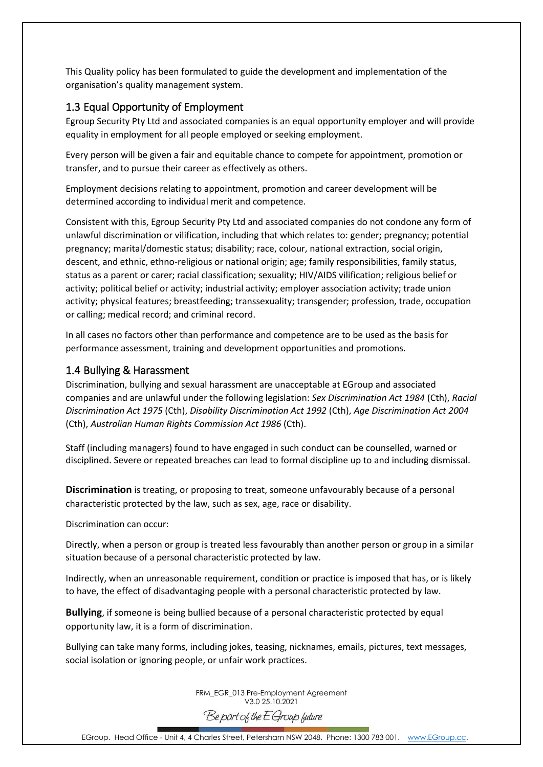This Quality policy has been formulated to guide the development and implementation of the organisation's quality management system.

#### <span id="page-2-0"></span>1.3 Equal Opportunity of Employment

Egroup Security Pty Ltd and associated companies is an equal opportunity employer and will provide equality in employment for all people employed or seeking employment.

Every person will be given a fair and equitable chance to compete for appointment, promotion or transfer, and to pursue their career as effectively as others.

Employment decisions relating to appointment, promotion and career development will be determined according to individual merit and competence.

Consistent with this, Egroup Security Pty Ltd and associated companies do not condone any form of unlawful discrimination or vilification, including that which relates to: gender; pregnancy; potential pregnancy; marital/domestic status; disability; race, colour, national extraction, social origin, descent, and ethnic, ethno-religious or national origin; age; family responsibilities, family status, status as a parent or carer; racial classification; sexuality; HIV/AIDS vilification; religious belief or activity; political belief or activity; industrial activity; employer association activity; trade union activity; physical features; breastfeeding; transsexuality; transgender; profession, trade, occupation or calling; medical record; and criminal record.

In all cases no factors other than performance and competence are to be used as the basis for performance assessment, training and development opportunities and promotions.

#### <span id="page-2-1"></span>1.4 Bullying & Harassment

Discrimination, bullying and sexual harassment are unacceptable at EGroup and associated companies and are unlawful under the following legislation: *Sex Discrimination Act 1984* (Cth), *Racial Discrimination Act 1975* (Cth), *Disability Discrimination Act 1992* (Cth), *Age Discrimination Act 2004* (Cth), *Australian Human Rights Commission Act 1986* (Cth).

Staff (including managers) found to have engaged in such conduct can be counselled, warned or disciplined. Severe or repeated breaches can lead to formal discipline up to and including dismissal.

**Discrimination** is treating, or proposing to treat, someone unfavourably because of a personal characteristic protected by the law, such as sex, age, race or disability.

Discrimination can occur:

Directly, when a person or group is treated less favourably than another person or group in a similar situation because of a personal characteristic protected by law.

Indirectly, when an unreasonable requirement, condition or practice is imposed that has, or is likely to have, the effect of disadvantaging people with a personal characteristic protected by law.

**Bullying**, if someone is being bullied because of a personal characteristic protected by equal opportunity law, it is a form of discrimination.

Bullying can take many forms, including jokes, teasing, nicknames, emails, pictures, text messages, social isolation or ignoring people, or unfair work practices.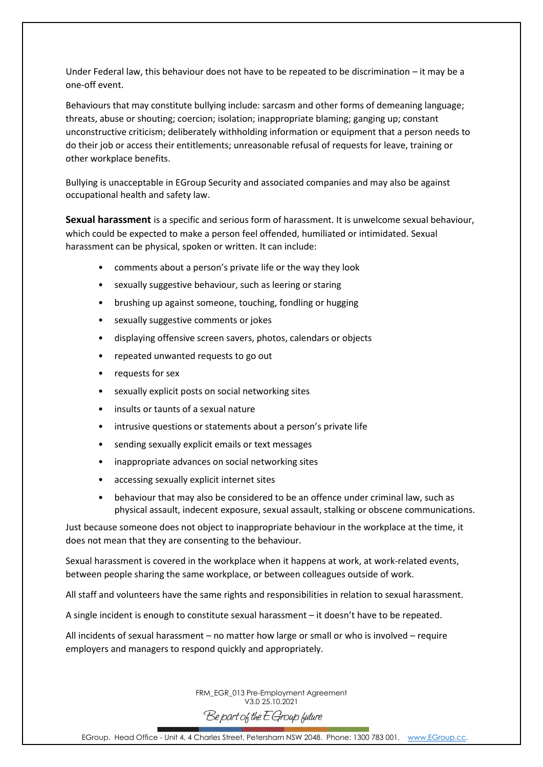Under Federal law, this behaviour does not have to be repeated to be discrimination – it may be a one-off event.

Behaviours that may constitute bullying include: sarcasm and other forms of demeaning language; threats, abuse or shouting; coercion; isolation; inappropriate blaming; ganging up; constant unconstructive criticism; deliberately withholding information or equipment that a person needs to do their job or access their entitlements; unreasonable refusal of requests for leave, training or other workplace benefits.

Bullying is unacceptable in EGroup Security and associated companies and may also be against occupational health and safety law.

**Sexual harassment** is a specific and serious form of harassment. It is unwelcome sexual behaviour, which could be expected to make a person feel offended, humiliated or intimidated. Sexual harassment can be physical, spoken or written. It can include:

- comments about a person's private life or the way they look
- sexually suggestive behaviour, such as leering or staring
- brushing up against someone, touching, fondling or hugging
- sexually suggestive comments or jokes
- displaying offensive screen savers, photos, calendars or objects
- repeated unwanted requests to go out
- requests for sex
- sexually explicit posts on social networking sites
- insults or taunts of a sexual nature
- intrusive questions or statements about a person's private life
- sending sexually explicit emails or text messages
- inappropriate advances on social networking sites
- accessing sexually explicit internet sites
- behaviour that may also be considered to be an offence under criminal law, such as physical assault, indecent exposure, sexual assault, stalking or obscene communications.

Just because someone does not object to inappropriate behaviour in the workplace at the time, it does not mean that they are consenting to the behaviour.

Sexual harassment is covered in the workplace when it happens at work, at work-related events, between people sharing the same workplace, or between colleagues outside of work.

All staff and volunteers have the same rights and responsibilities in relation to sexual harassment.

A single incident is enough to constitute sexual harassment – it doesn't have to be repeated.

All incidents of sexual harassment – no matter how large or small or who is involved – require employers and managers to respond quickly and appropriately.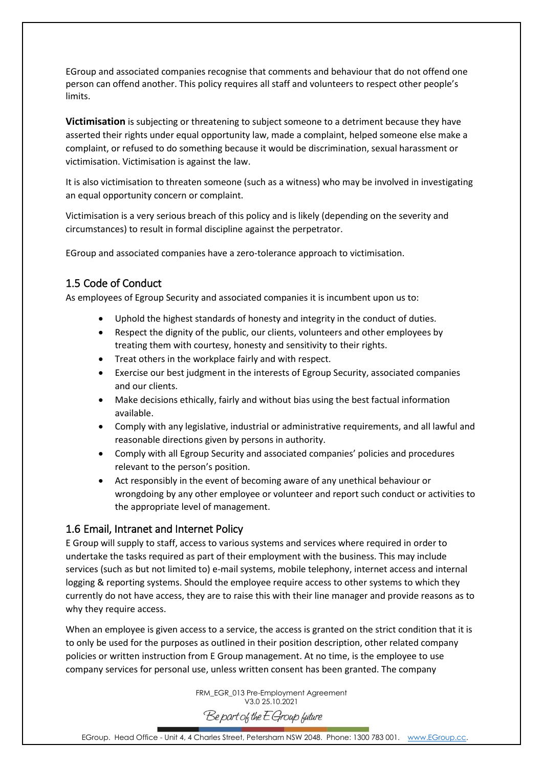EGroup and associated companies recognise that comments and behaviour that do not offend one person can offend another. This policy requires all staff and volunteers to respect other people's limits.

**Victimisation** is subjecting or threatening to subject someone to a detriment because they have asserted their rights under equal opportunity law, made a complaint, helped someone else make a complaint, or refused to do something because it would be discrimination, sexual harassment or victimisation. Victimisation is against the law.

It is also victimisation to threaten someone (such as a witness) who may be involved in investigating an equal opportunity concern or complaint.

Victimisation is a very serious breach of this policy and is likely (depending on the severity and circumstances) to result in formal discipline against the perpetrator.

EGroup and associated companies have a zero-tolerance approach to victimisation.

#### <span id="page-4-0"></span>1.5 Code of Conduct

As employees of Egroup Security and associated companies it is incumbent upon us to:

- Uphold the highest standards of honesty and integrity in the conduct of duties.
- Respect the dignity of the public, our clients, volunteers and other employees by treating them with courtesy, honesty and sensitivity to their rights.
- Treat others in the workplace fairly and with respect.
- Exercise our best judgment in the interests of Egroup Security, associated companies and our clients.
- Make decisions ethically, fairly and without bias using the best factual information available.
- Comply with any legislative, industrial or administrative requirements, and all lawful and reasonable directions given by persons in authority.
- Comply with all Egroup Security and associated companies' policies and procedures relevant to the person's position.
- Act responsibly in the event of becoming aware of any unethical behaviour or wrongdoing by any other employee or volunteer and report such conduct or activities to the appropriate level of management.

#### <span id="page-4-1"></span>1.6 Email, Intranet and Internet Policy

E Group will supply to staff, access to various systems and services where required in order to undertake the tasks required as part of their employment with the business. This may include services (such as but not limited to) e-mail systems, mobile telephony, internet access and internal logging & reporting systems. Should the employee require access to other systems to which they currently do not have access, they are to raise this with their line manager and provide reasons as to why they require access.

When an employee is given access to a service, the access is granted on the strict condition that it is to only be used for the purposes as outlined in their position description, other related company policies or written instruction from E Group management. At no time, is the employee to use company services for personal use, unless written consent has been granted. The company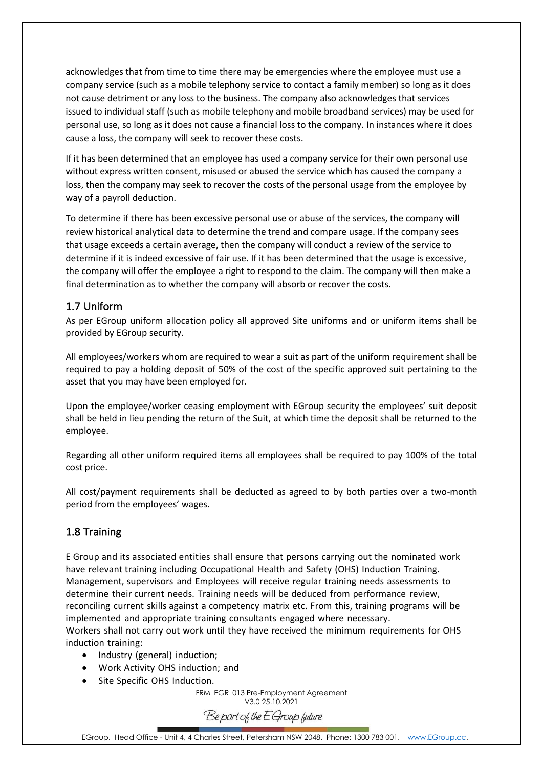acknowledges that from time to time there may be emergencies where the employee must use a company service (such as a mobile telephony service to contact a family member) so long as it does not cause detriment or any loss to the business. The company also acknowledges that services issued to individual staff (such as mobile telephony and mobile broadband services) may be used for personal use, so long as it does not cause a financial loss to the company. In instances where it does cause a loss, the company will seek to recover these costs.

If it has been determined that an employee has used a company service for their own personal use without express written consent, misused or abused the service which has caused the company a loss, then the company may seek to recover the costs of the personal usage from the employee by way of a payroll deduction.

To determine if there has been excessive personal use or abuse of the services, the company will review historical analytical data to determine the trend and compare usage. If the company sees that usage exceeds a certain average, then the company will conduct a review of the service to determine if it is indeed excessive of fair use. If it has been determined that the usage is excessive, the company will offer the employee a right to respond to the claim. The company will then make a final determination as to whether the company will absorb or recover the costs.

#### <span id="page-5-0"></span>1.7 Uniform

As per EGroup uniform allocation policy all approved Site uniforms and or uniform items shall be provided by EGroup security.

All employees/workers whom are required to wear a suit as part of the uniform requirement shall be required to pay a holding deposit of 50% of the cost of the specific approved suit pertaining to the asset that you may have been employed for.

Upon the employee/worker ceasing employment with EGroup security the employees' suit deposit shall be held in lieu pending the return of the Suit, at which time the deposit shall be returned to the employee.

Regarding all other uniform required items all employees shall be required to pay 100% of the total cost price.

All cost/payment requirements shall be deducted as agreed to by both parties over a two-month period from the employees' wages.

#### <span id="page-5-1"></span>1.8 Training

E Group and its associated entities shall ensure that persons carrying out the nominated work have relevant training including Occupational Health and Safety (OHS) Induction Training. Management, supervisors and Employees will receive regular training needs assessments to determine their current needs. Training needs will be deduced from performance review, reconciling current skills against a competency matrix etc. From this, training programs will be implemented and appropriate training consultants engaged where necessary.

Workers shall not carry out work until they have received the minimum requirements for OHS induction training:

- Industry (general) induction;
- Work Activity OHS induction; and
- Site Specific OHS Induction.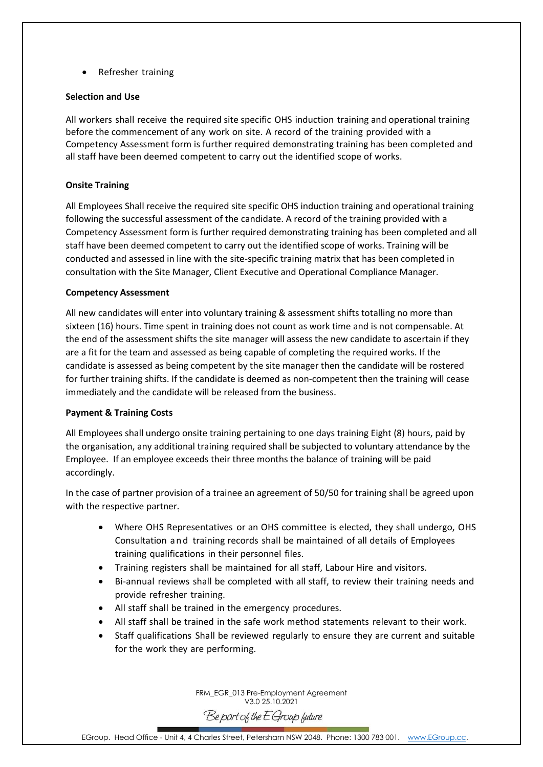• Refresher training

#### **Selection and Use**

All workers shall receive the required site specific OHS induction training and operational training before the commencement of any work on site. A record of the training provided with a Competency Assessment form is further required demonstrating training has been completed and all staff have been deemed competent to carry out the identified scope of works.

#### **Onsite Training**

All Employees Shall receive the required site specific OHS induction training and operational training following the successful assessment of the candidate. A record of the training provided with a Competency Assessment form is further required demonstrating training has been completed and all staff have been deemed competent to carry out the identified scope of works. Training will be conducted and assessed in line with the site-specific training matrix that has been completed in consultation with the Site Manager, Client Executive and Operational Compliance Manager.

#### **Competency Assessment**

All new candidates will enter into voluntary training & assessment shifts totalling no more than sixteen (16) hours. Time spent in training does not count as work time and is not compensable. At the end of the assessment shifts the site manager will assess the new candidate to ascertain if they are a fit for the team and assessed as being capable of completing the required works. If the candidate is assessed as being competent by the site manager then the candidate will be rostered for further training shifts. If the candidate is deemed as non-competent then the training will cease immediately and the candidate will be released from the business.

#### **Payment & Training Costs**

All Employees shall undergo onsite training pertaining to one days training Eight (8) hours, paid by the organisation, any additional training required shall be subjected to voluntary attendance by the Employee. If an employee exceeds their three months the balance of training will be paid accordingly.

In the case of partner provision of a trainee an agreement of 50/50 for training shall be agreed upon with the respective partner.

- Where OHS Representatives or an OHS committee is elected, they shall undergo, OHS Consultation and training records shall be maintained of all details of Employees training qualifications in their personnel files.
- Training registers shall be maintained for all staff, Labour Hire and visitors.
- Bi-annual reviews shall be completed with all staff, to review their training needs and provide refresher training.
- All staff shall be trained in the emergency procedures.
- All staff shall be trained in the safe work method statements relevant to their work.
- Staff qualifications Shall be reviewed regularly to ensure they are current and suitable for the work they are performing.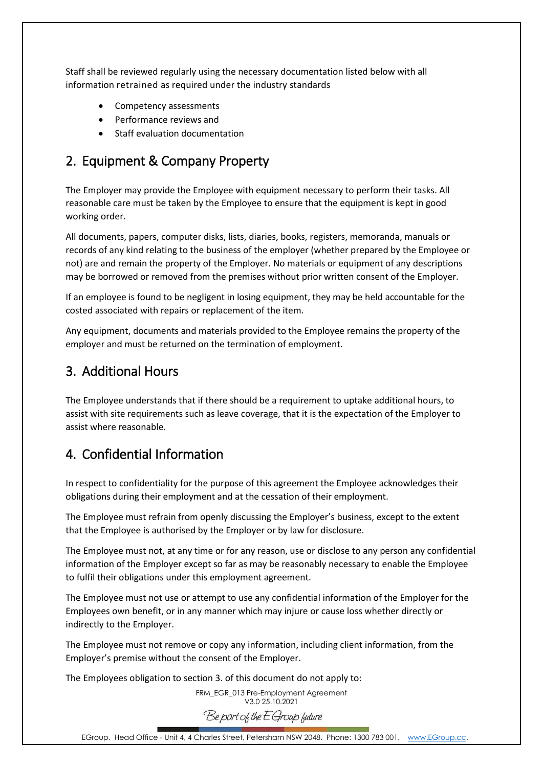Staff shall be reviewed regularly using the necessary documentation listed below with all information retrained as required under the industry standards

- Competency assessments
- Performance reviews and
- Staff evaluation documentation

# <span id="page-7-0"></span>2. Equipment & Company Property

The Employer may provide the Employee with equipment necessary to perform their tasks. All reasonable care must be taken by the Employee to ensure that the equipment is kept in good working order.

All documents, papers, computer disks, lists, diaries, books, registers, memoranda, manuals or records of any kind relating to the business of the employer (whether prepared by the Employee or not) are and remain the property of the Employer. No materials or equipment of any descriptions may be borrowed or removed from the premises without prior written consent of the Employer.

If an employee is found to be negligent in losing equipment, they may be held accountable for the costed associated with repairs or replacement of the item.

Any equipment, documents and materials provided to the Employee remains the property of the employer and must be returned on the termination of employment.

## <span id="page-7-1"></span>3. Additional Hours

The Employee understands that if there should be a requirement to uptake additional hours, to assist with site requirements such as leave coverage, that it is the expectation of the Employer to assist where reasonable.

# <span id="page-7-2"></span>4. Confidential Information

In respect to confidentiality for the purpose of this agreement the Employee acknowledges their obligations during their employment and at the cessation of their employment.

The Employee must refrain from openly discussing the Employer's business, except to the extent that the Employee is authorised by the Employer or by law for disclosure.

The Employee must not, at any time or for any reason, use or disclose to any person any confidential information of the Employer except so far as may be reasonably necessary to enable the Employee to fulfil their obligations under this employment agreement.

The Employee must not use or attempt to use any confidential information of the Employer for the Employees own benefit, or in any manner which may injure or cause loss whether directly or indirectly to the Employer.

The Employee must not remove or copy any information, including client information, from the Employer's premise without the consent of the Employer.

The Employees obligation to section 3. of this document do not apply to: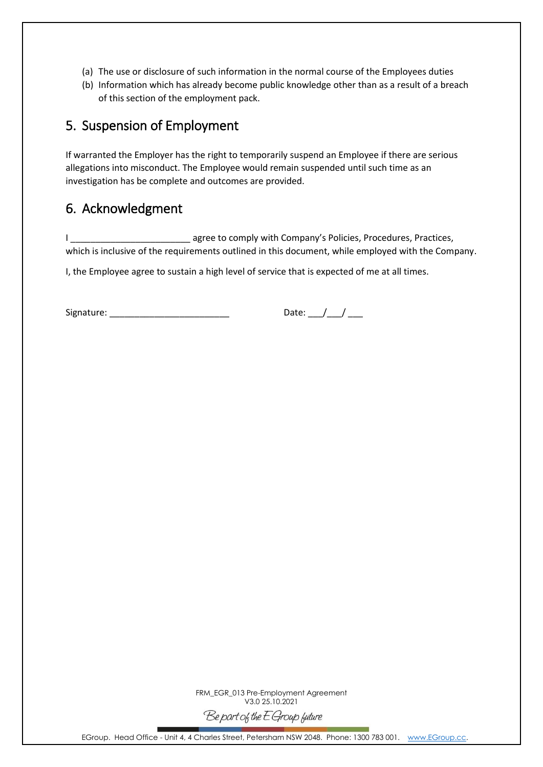- (a) The use or disclosure of such information in the normal course of the Employees duties
- (b) Information which has already become public knowledge other than as a result of a breach of this section of the employment pack.

# <span id="page-8-0"></span>5. Suspension of Employment

If warranted the Employer has the right to temporarily suspend an Employee if there are serious allegations into misconduct. The Employee would remain suspended until such time as an investigation has be complete and outcomes are provided.

## <span id="page-8-1"></span>6. Acknowledgment

I agree to comply with Company's Policies, Procedures, Practices, which is inclusive of the requirements outlined in this document, while employed with the Company.

I, the Employee agree to sustain a high level of service that is expected of me at all times.

Signature: \_\_\_\_\_\_\_\_\_\_\_\_\_\_\_\_\_\_\_\_\_\_\_\_ Date: \_\_\_/\_\_\_/ \_\_\_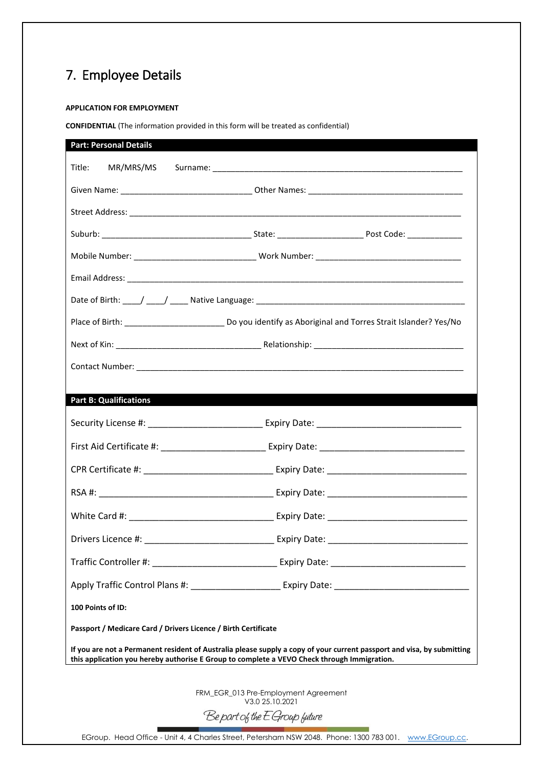# <span id="page-9-0"></span>7. Employee Details

#### **APPLICATION FOR EMPLOYMENT**

**CONFIDENTIAL** (The information provided in this form will be treated as confidential)

| <b>Part B: Qualifications</b>                                                                        |                                                  |                                                                                                                        |
|------------------------------------------------------------------------------------------------------|--------------------------------------------------|------------------------------------------------------------------------------------------------------------------------|
| Security License #: ________________________________ Expiry Date: __________________________________ |                                                  |                                                                                                                        |
|                                                                                                      |                                                  | First Aid Certificate #: __________________________ Expiry Date: ___________________________________                   |
|                                                                                                      |                                                  |                                                                                                                        |
|                                                                                                      |                                                  |                                                                                                                        |
|                                                                                                      |                                                  |                                                                                                                        |
|                                                                                                      |                                                  |                                                                                                                        |
|                                                                                                      |                                                  |                                                                                                                        |
|                                                                                                      |                                                  |                                                                                                                        |
| 100 Points of ID:                                                                                    |                                                  |                                                                                                                        |
| Passport / Medicare Card / Drivers Licence / Birth Certificate                                       |                                                  |                                                                                                                        |
| this application you hereby authorise E Group to complete a VEVO Check through Immigration.          |                                                  | If you are not a Permanent resident of Australia please supply a copy of your current passport and visa, by submitting |
|                                                                                                      | FRM_EGR_013 Pre-Employment Agreement             |                                                                                                                        |
|                                                                                                      | V3.0 25.10.2021<br>Be part of the E Group future |                                                                                                                        |

EGroup. Head Office - Unit 4, 4 Charles Street, Petersham NSW 2048. Phone: 1300 783 001. [www.EGroup.cc.](http://www.egroup.cc/)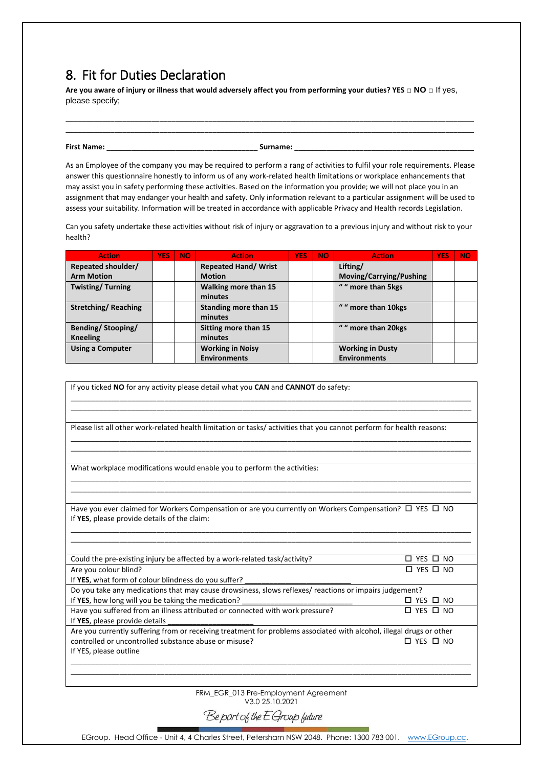## <span id="page-10-0"></span>8. Fit for Duties Declaration

**Are you aware of injury or illness that would adversely affect you from performing your duties? YES** □ **NO** □ If yes, please specify;

**\_\_\_\_\_\_\_\_\_\_\_\_\_\_\_\_\_\_\_\_\_\_\_\_\_\_\_\_\_\_\_\_\_\_\_\_\_\_\_\_\_\_\_\_\_\_\_\_\_\_\_\_\_\_\_\_\_\_\_\_\_\_\_\_\_\_\_\_\_\_\_\_\_\_\_\_\_\_\_\_\_\_\_\_\_\_\_\_\_\_\_\_\_\_\_\_\_\_\_\_ \_\_\_\_\_\_\_\_\_\_\_\_\_\_\_\_\_\_\_\_\_\_\_\_\_\_\_\_\_\_\_\_\_\_\_\_\_\_\_\_\_\_\_\_\_\_\_\_\_\_\_\_\_\_\_\_\_\_\_\_\_\_\_\_\_\_\_\_\_\_\_\_\_\_\_\_\_\_\_\_\_\_\_\_\_\_\_\_\_\_\_\_\_\_\_\_\_\_\_\_**

**First Name: \_\_\_\_\_\_\_\_\_\_\_\_\_\_\_\_\_\_\_\_\_\_\_\_\_\_\_\_\_\_\_\_\_\_\_\_\_ Surname: \_\_\_\_\_\_\_\_\_\_\_\_\_\_\_\_\_\_\_\_\_\_\_\_\_\_\_\_\_\_\_\_\_\_\_\_\_\_\_\_\_\_\_\_**

As an Employee of the company you may be required to perform a rang of activities to fulfil your role requirements. Please answer this questionnaire honestly to inform us of any work-related health limitations or workplace enhancements that may assist you in safety performing these activities. Based on the information you provide; we will not place you in an assignment that may endanger your health and safety. Only information relevant to a particular assignment will be used to assess your suitability. Information will be treated in accordance with applicable Privacy and Health records Legislation.

Can you safety undertake these activities without risk of injury or aggravation to a previous injury and without risk to your health?

| <b>Action</b>              | <b>YES</b> | NO. | <b>Action</b>               | <b>YES</b> | <b>NO</b> | <b>Action</b>           | <b>YES</b> | <b>NO</b> |
|----------------------------|------------|-----|-----------------------------|------------|-----------|-------------------------|------------|-----------|
| Repeated shoulder/         |            |     | <b>Repeated Hand/ Wrist</b> |            |           | Lifting/                |            |           |
| <b>Arm Motion</b>          |            |     | <b>Motion</b>               |            |           | Moving/Carrying/Pushing |            |           |
| <b>Twisting/Turning</b>    |            |     | Walking more than 15        |            |           | " " more than 5kgs      |            |           |
|                            |            |     | minutes                     |            |           |                         |            |           |
| <b>Stretching/Reaching</b> |            |     | Standing more than 15       |            |           | " " more than 10kgs     |            |           |
|                            |            |     | minutes                     |            |           |                         |            |           |
| <b>Bending/Stooping/</b>   |            |     | Sitting more than 15        |            |           | " " more than 20kgs     |            |           |
| <b>Kneeling</b>            |            |     | minutes                     |            |           |                         |            |           |
| <b>Using a Computer</b>    |            |     | <b>Working in Noisy</b>     |            |           | <b>Working in Dusty</b> |            |           |
|                            |            |     | <b>Environments</b>         |            |           | <b>Environments</b>     |            |           |

| If you ticked NO for any activity please detail what you CAN and CANNOT do safety:                                                                                      |                            |  |  |  |
|-------------------------------------------------------------------------------------------------------------------------------------------------------------------------|----------------------------|--|--|--|
|                                                                                                                                                                         |                            |  |  |  |
| Please list all other work-related health limitation or tasks/activities that you cannot perform for health reasons:                                                    |                            |  |  |  |
| What workplace modifications would enable you to perform the activities:                                                                                                |                            |  |  |  |
|                                                                                                                                                                         |                            |  |  |  |
| Have you ever claimed for Workers Compensation or are you currently on Workers Compensation? $\square$ YES $\square$ NO<br>If YES, please provide details of the claim: |                            |  |  |  |
|                                                                                                                                                                         |                            |  |  |  |
| Could the pre-existing injury be affected by a work-related task/activity?                                                                                              | $\square$ YES $\square$ NO |  |  |  |
| Are you colour blind?                                                                                                                                                   | $\Box$ YES $\Box$ NO       |  |  |  |
| If YES, what form of colour blindness do you suffer?                                                                                                                    |                            |  |  |  |
| Do you take any medications that may cause drowsiness, slows reflexes/ reactions or impairs judgement?                                                                  |                            |  |  |  |
| If YES, how long will you be taking the medication?                                                                                                                     | $\Box$ YES $\Box$ NO       |  |  |  |
| Have you suffered from an illness attributed or connected with work pressure?<br>If YES, please provide details                                                         | $\Box$ YES $\Box$ NO       |  |  |  |
| Are you currently suffering from or receiving treatment for problems associated with alcohol, illegal drugs or other                                                    |                            |  |  |  |
| controlled or uncontrolled substance abuse or misuse?                                                                                                                   | $\Box$ YES $\Box$ NO       |  |  |  |
| If YES, please outline                                                                                                                                                  |                            |  |  |  |
|                                                                                                                                                                         |                            |  |  |  |
|                                                                                                                                                                         |                            |  |  |  |
|                                                                                                                                                                         |                            |  |  |  |
| EDM ECP 013 Pro Employment Agreement                                                                                                                                    |                            |  |  |  |

FRM\_EGR\_013 Pre-Employment Agreement V3.0 25.10.2021

Be part of the E Group future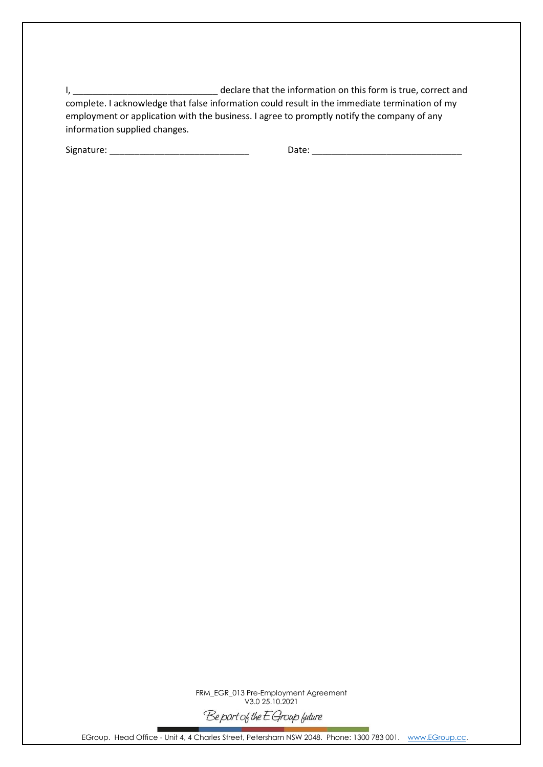I, \_\_\_\_\_\_\_\_\_\_\_\_\_\_\_\_\_\_\_\_\_\_\_\_\_\_\_\_\_ declare that the information on this form is true, correct and complete. I acknowledge that false information could result in the immediate termination of my employment or application with the business. I agree to promptly notify the company of any information supplied changes.

Signature: \_\_\_\_\_\_\_\_\_\_\_\_\_\_\_\_\_\_\_\_\_\_\_\_\_\_\_\_ Date: \_\_\_\_\_\_\_\_\_\_\_\_\_\_\_\_\_\_\_\_\_\_\_\_\_\_\_\_\_\_

FRM\_EGR\_013 Pre-Employment Agreement V3.0 25.10.2021 Be part of the E Group future

EGroup. Head Office - Unit 4, 4 Charles Street, Petersham NSW 2048. Phone: 1300 783 001. [www.EGroup.cc.](http://www.egroup.cc/)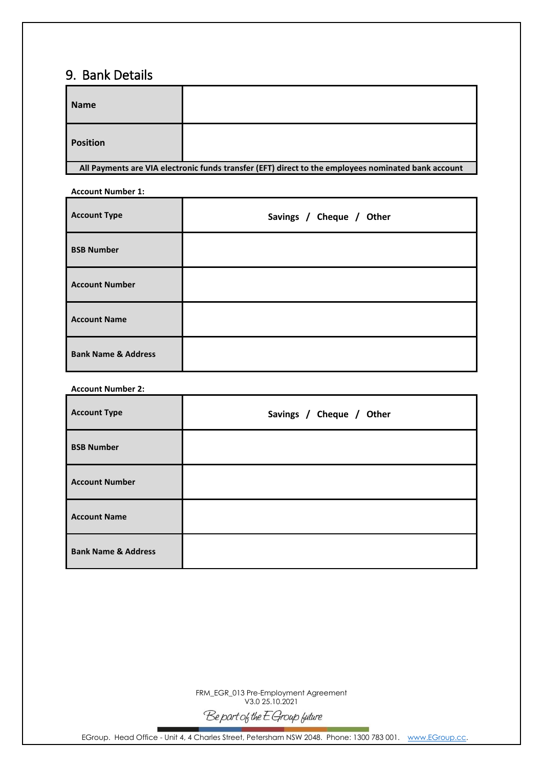## <span id="page-12-0"></span>9. Bank Details

| <b>Name</b>                                                                                         |  |  |  |
|-----------------------------------------------------------------------------------------------------|--|--|--|
| <b>Position</b>                                                                                     |  |  |  |
| All Payments are VIA electronic funds transfer (EFT) direct to the employees nominated bank account |  |  |  |

| <b>Account Number 1:</b>       |                          |  |  |  |
|--------------------------------|--------------------------|--|--|--|
| <b>Account Type</b>            | Savings / Cheque / Other |  |  |  |
| <b>BSB Number</b>              |                          |  |  |  |
| <b>Account Number</b>          |                          |  |  |  |
| <b>Account Name</b>            |                          |  |  |  |
| <b>Bank Name &amp; Address</b> |                          |  |  |  |

#### **Account Number 2:**

| <b>Account Type</b>            | Savings / Cheque / Other |
|--------------------------------|--------------------------|
| <b>BSB Number</b>              |                          |
| <b>Account Number</b>          |                          |
| <b>Account Name</b>            |                          |
| <b>Bank Name &amp; Address</b> |                          |